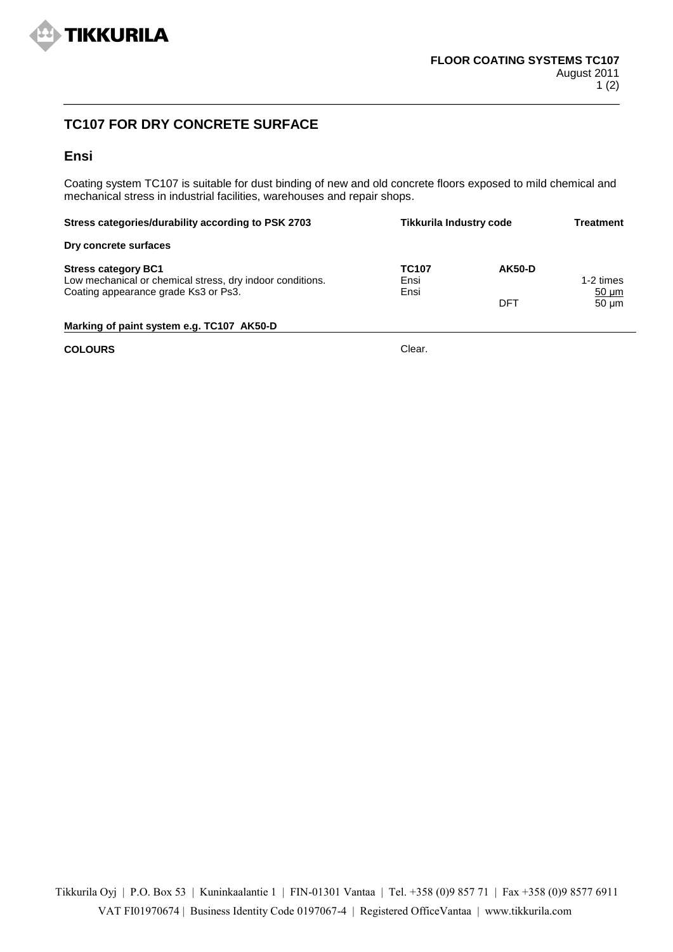

## **TC107 FOR DRY CONCRETE SURFACE**

## **Ensi**

Coating system TC107 is suitable for dust binding of new and old concrete floors exposed to mild chemical and mechanical stress in industrial facilities, warehouses and repair shops.

| <b>Tikkurila Industry code</b><br>Stress categories/durability according to PSK 2703                                            |                              |                      | Treatment                             |
|---------------------------------------------------------------------------------------------------------------------------------|------------------------------|----------------------|---------------------------------------|
| Dry concrete surfaces                                                                                                           |                              |                      |                                       |
| <b>Stress category BC1</b><br>Low mechanical or chemical stress, dry indoor conditions.<br>Coating appearance grade Ks3 or Ps3. | <b>TC107</b><br>Ensi<br>Ensi | <b>AK50-D</b><br>DFT | 1-2 times<br>$50 \mu m$<br>$50 \mu m$ |
| Marking of paint system e.g. TC107 AK50-D                                                                                       |                              |                      |                                       |

**COLOURS** Clear.